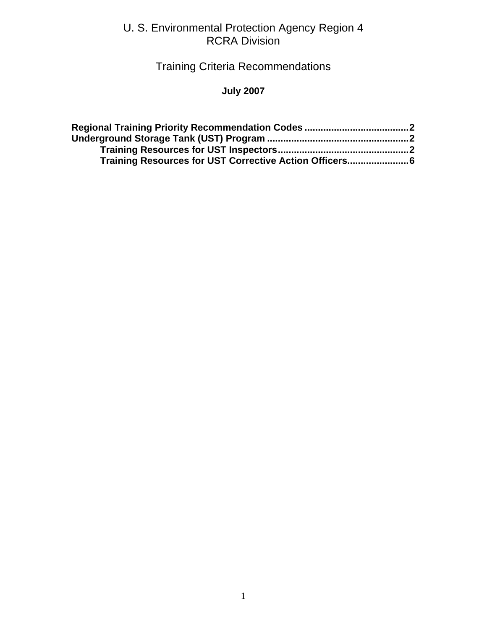#### U. S. Environmental Protection Agency Region 4 RCRA Division

# Training Criteria Recommendations

#### **July 2007**

| Training Resources for UST Corrective Action Officers6 |  |
|--------------------------------------------------------|--|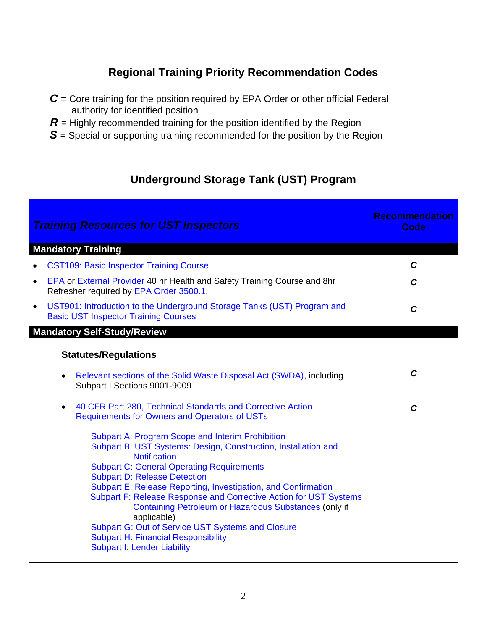## **Regional Training Priority Recommendation Codes**

- <span id="page-1-0"></span>*C* = Core training for the position required by EPA Order or other official Federal authority for identified position
- $R$  = Highly recommended training for the position identified by the Region
- **S** = Special or supporting training recommended for the position by the Region

### **Underground Storage Tank (UST) Program**

| <b>Training Resources for UST Inspectors</b>                                                                                                                                                                                                                                                                                                                                                                                                                                                                                                                                                       | <b>Recommendation</b><br>Code |
|----------------------------------------------------------------------------------------------------------------------------------------------------------------------------------------------------------------------------------------------------------------------------------------------------------------------------------------------------------------------------------------------------------------------------------------------------------------------------------------------------------------------------------------------------------------------------------------------------|-------------------------------|
| <b>Mandatory Training</b>                                                                                                                                                                                                                                                                                                                                                                                                                                                                                                                                                                          |                               |
| <b>CST109: Basic Inspector Training Course</b>                                                                                                                                                                                                                                                                                                                                                                                                                                                                                                                                                     | $\mathbf C$                   |
| EPA or External Provider 40 hr Health and Safety Training Course and 8hr<br>$\bullet$<br>Refresher required by EPA Order 3500.1.                                                                                                                                                                                                                                                                                                                                                                                                                                                                   | C                             |
| UST901: Introduction to the Underground Storage Tanks (UST) Program and<br>$\bullet$<br><b>Basic UST Inspector Training Courses</b>                                                                                                                                                                                                                                                                                                                                                                                                                                                                | C                             |
| <b>Mandatory Self-Study/Review</b>                                                                                                                                                                                                                                                                                                                                                                                                                                                                                                                                                                 |                               |
| <b>Statutes/Regulations</b>                                                                                                                                                                                                                                                                                                                                                                                                                                                                                                                                                                        |                               |
| Relevant sections of the Solid Waste Disposal Act (SWDA), including<br>Subpart I Sections 9001-9009                                                                                                                                                                                                                                                                                                                                                                                                                                                                                                | $\mathbf{C}$                  |
| 40 CFR Part 280, Technical Standards and Corrective Action<br>$\bullet$<br><b>Requirements for Owners and Operators of USTs</b>                                                                                                                                                                                                                                                                                                                                                                                                                                                                    | $\mathbf C$                   |
| <b>Subpart A: Program Scope and Interim Prohibition</b><br>Subpart B: UST Systems: Design, Construction, Installation and<br><b>Notification</b><br><b>Subpart C: General Operating Requirements</b><br><b>Subpart D: Release Detection</b><br>Subpart E: Release Reporting, Investigation, and Confirmation<br>Subpart F: Release Response and Corrective Action for UST Systems<br>Containing Petroleum or Hazardous Substances (only if<br>applicable)<br>Subpart G: Out of Service UST Systems and Closure<br><b>Subpart H: Financial Responsibility</b><br><b>Subpart I: Lender Liability</b> |                               |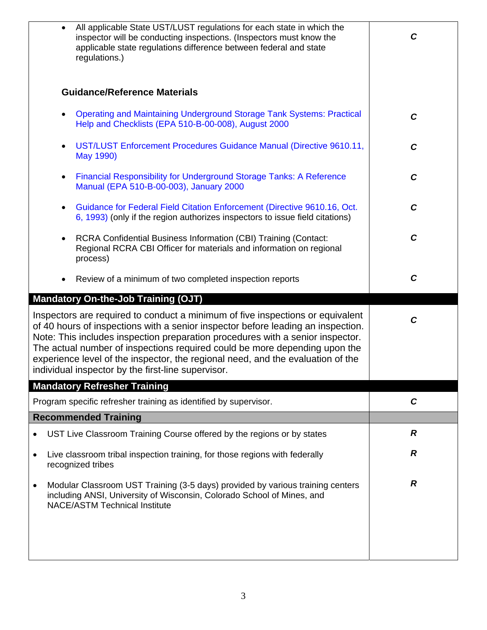| All applicable State UST/LUST regulations for each state in which the<br>$\bullet$<br>inspector will be conducting inspections. (Inspectors must know the<br>applicable state regulations difference between federal and state<br>regulations.)                                                                                                                                                                                                                             | C                |
|-----------------------------------------------------------------------------------------------------------------------------------------------------------------------------------------------------------------------------------------------------------------------------------------------------------------------------------------------------------------------------------------------------------------------------------------------------------------------------|------------------|
| <b>Guidance/Reference Materials</b>                                                                                                                                                                                                                                                                                                                                                                                                                                         |                  |
| <b>Operating and Maintaining Underground Storage Tank Systems: Practical</b><br>Help and Checklists (EPA 510-B-00-008), August 2000                                                                                                                                                                                                                                                                                                                                         | $\mathbf{C}$     |
| UST/LUST Enforcement Procedures Guidance Manual (Directive 9610.11,<br>$\bullet$<br>May 1990)                                                                                                                                                                                                                                                                                                                                                                               | $\mathbf c$      |
| Financial Responsibility for Underground Storage Tanks: A Reference<br>$\bullet$<br>Manual (EPA 510-B-00-003), January 2000                                                                                                                                                                                                                                                                                                                                                 | $\mathbf c$      |
| Guidance for Federal Field Citation Enforcement (Directive 9610.16, Oct.<br>$\bullet$<br>6, 1993) (only if the region authorizes inspectors to issue field citations)                                                                                                                                                                                                                                                                                                       | $\mathbf C$      |
| RCRA Confidential Business Information (CBI) Training (Contact:<br>٠<br>Regional RCRA CBI Officer for materials and information on regional<br>process)                                                                                                                                                                                                                                                                                                                     | $\mathbf C$      |
| Review of a minimum of two completed inspection reports                                                                                                                                                                                                                                                                                                                                                                                                                     | $\mathbf c$      |
|                                                                                                                                                                                                                                                                                                                                                                                                                                                                             |                  |
| <b>Mandatory On-the-Job Training (OJT)</b>                                                                                                                                                                                                                                                                                                                                                                                                                                  |                  |
| Inspectors are required to conduct a minimum of five inspections or equivalent<br>of 40 hours of inspections with a senior inspector before leading an inspection.<br>Note: This includes inspection preparation procedures with a senior inspector.<br>The actual number of inspections required could be more depending upon the<br>experience level of the inspector, the regional need, and the evaluation of the<br>individual inspector by the first-line supervisor. | $\mathbf C$      |
| <b>Mandatory Refresher Training</b>                                                                                                                                                                                                                                                                                                                                                                                                                                         |                  |
| Program specific refresher training as identified by supervisor.                                                                                                                                                                                                                                                                                                                                                                                                            | $\mathbf C$      |
| <b>Recommended Training</b>                                                                                                                                                                                                                                                                                                                                                                                                                                                 |                  |
| UST Live Classroom Training Course offered by the regions or by states                                                                                                                                                                                                                                                                                                                                                                                                      | $\boldsymbol{R}$ |
| Live classroom tribal inspection training, for those regions with federally<br>$\bullet$<br>recognized tribes                                                                                                                                                                                                                                                                                                                                                               | R                |
| Modular Classroom UST Training (3-5 days) provided by various training centers<br>$\bullet$<br>including ANSI, University of Wisconsin, Colorado School of Mines, and<br><b>NACE/ASTM Technical Institute</b>                                                                                                                                                                                                                                                               | R                |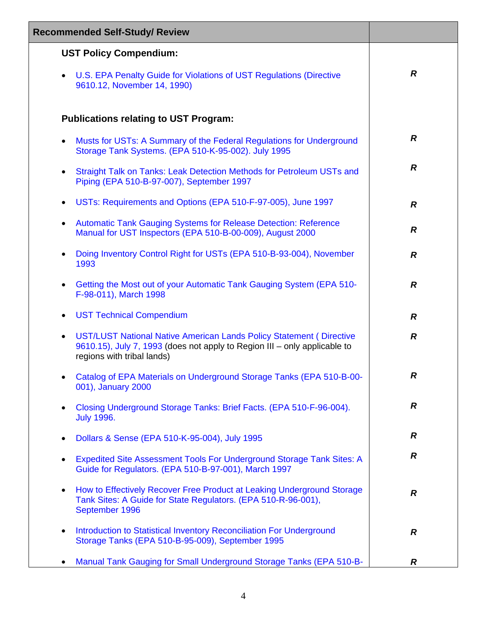| <b>Recommended Self-Study/ Review</b>                                                                                                                                                       |                  |
|---------------------------------------------------------------------------------------------------------------------------------------------------------------------------------------------|------------------|
| <b>UST Policy Compendium:</b>                                                                                                                                                               |                  |
| U.S. EPA Penalty Guide for Violations of UST Regulations (Directive<br>$\bullet$<br>9610.12, November 14, 1990)                                                                             | $\boldsymbol{R}$ |
| <b>Publications relating to UST Program:</b>                                                                                                                                                |                  |
| Musts for USTs: A Summary of the Federal Regulations for Underground<br>$\bullet$<br>Storage Tank Systems. (EPA 510-K-95-002). July 1995                                                    | $\boldsymbol{R}$ |
| Straight Talk on Tanks: Leak Detection Methods for Petroleum USTs and<br>$\bullet$<br>Piping (EPA 510-B-97-007), September 1997                                                             | $\boldsymbol{R}$ |
| USTs: Requirements and Options (EPA 510-F-97-005), June 1997<br>$\bullet$                                                                                                                   | $\boldsymbol{R}$ |
| Automatic Tank Gauging Systems for Release Detection: Reference<br>$\bullet$<br>Manual for UST Inspectors (EPA 510-B-00-009), August 2000                                                   | $\overline{R}$   |
| Doing Inventory Control Right for USTs (EPA 510-B-93-004), November<br>$\bullet$<br>1993                                                                                                    | $\boldsymbol{R}$ |
| Getting the Most out of your Automatic Tank Gauging System (EPA 510-<br>$\bullet$<br>F-98-011), March 1998                                                                                  | $\boldsymbol{R}$ |
| <b>UST Technical Compendium</b><br>$\bullet$                                                                                                                                                | $\boldsymbol{R}$ |
| UST/LUST National Native American Lands Policy Statement (Directive<br>$\bullet$<br>9610.15), July 7, 1993 (does not apply to Region III – only applicable to<br>regions with tribal lands) | $\boldsymbol{R}$ |
| Catalog of EPA Materials on Underground Storage Tanks (EPA 510-B-00-<br>001), January 2000                                                                                                  | R                |
| Closing Underground Storage Tanks: Brief Facts. (EPA 510-F-96-004).<br>$\bullet$<br><b>July 1996.</b>                                                                                       | R                |
| Dollars & Sense (EPA 510-K-95-004), July 1995<br>$\bullet$                                                                                                                                  | R                |
| Expedited Site Assessment Tools For Underground Storage Tank Sites: A<br>Guide for Regulators. (EPA 510-B-97-001), March 1997                                                               | $\boldsymbol{R}$ |
| How to Effectively Recover Free Product at Leaking Underground Storage<br>$\bullet$<br>Tank Sites: A Guide for State Regulators. (EPA 510-R-96-001),<br>September 1996                      | $\boldsymbol{R}$ |
| Introduction to Statistical Inventory Reconciliation For Underground<br>٠<br>Storage Tanks (EPA 510-B-95-009), September 1995                                                               | $\boldsymbol{R}$ |
| Manual Tank Gauging for Small Underground Storage Tanks (EPA 510-B-                                                                                                                         | R                |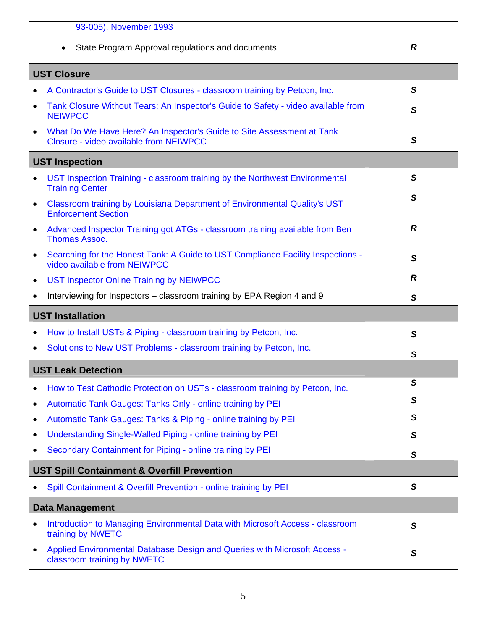| 93-005), November 1993                                                                                                       |   |
|------------------------------------------------------------------------------------------------------------------------------|---|
| State Program Approval regulations and documents                                                                             | R |
| <b>UST Closure</b>                                                                                                           |   |
| A Contractor's Guide to UST Closures - classroom training by Petcon, Inc.                                                    | S |
| Tank Closure Without Tears: An Inspector's Guide to Safety - video available from<br>$\bullet$<br><b>NEIWPCC</b>             | S |
| What Do We Have Here? An Inspector's Guide to Site Assessment at Tank<br>$\bullet$<br>Closure - video available from NEIWPCC | S |
| <b>UST Inspection</b>                                                                                                        |   |
| UST Inspection Training - classroom training by the Northwest Environmental<br>$\bullet$<br><b>Training Center</b>           | S |
| Classroom training by Louisiana Department of Environmental Quality's UST<br>$\bullet$<br><b>Enforcement Section</b>         | S |
| Advanced Inspector Training got ATGs - classroom training available from Ben<br>$\bullet$<br><b>Thomas Assoc.</b>            | R |
| Searching for the Honest Tank: A Guide to UST Compliance Facility Inspections -<br>$\bullet$<br>video available from NEIWPCC | S |
| <b>UST Inspector Online Training by NEIWPCC</b><br>$\bullet$                                                                 | R |
| Interviewing for Inspectors – classroom training by EPA Region 4 and 9<br>$\bullet$                                          | S |
| <b>UST Installation</b>                                                                                                      |   |
| How to Install USTs & Piping - classroom training by Petcon, Inc.<br>$\bullet$                                               | S |
| Solutions to New UST Problems - classroom training by Petcon, Inc.<br>$\bullet$                                              | S |
| <b>UST Leak Detection</b>                                                                                                    |   |
| How to Test Cathodic Protection on USTs - classroom training by Petcon, Inc.<br>٠                                            | S |
| Automatic Tank Gauges: Tanks Only - online training by PEI<br>٠                                                              | S |
| Automatic Tank Gauges: Tanks & Piping - online training by PEI<br>٠                                                          | S |
| Understanding Single-Walled Piping - online training by PEI                                                                  | S |
| Secondary Containment for Piping - online training by PEI<br>٠                                                               | S |
| <b>UST Spill Containment &amp; Overfill Prevention</b>                                                                       |   |
| Spill Containment & Overfill Prevention - online training by PEI<br>٠                                                        | S |
| <b>Data Management</b>                                                                                                       |   |
| Introduction to Managing Environmental Data with Microsoft Access - classroom<br>$\bullet$<br>training by NWETC              | S |
| Applied Environmental Database Design and Queries with Microsoft Access -<br>٠<br>classroom training by NWETC                | S |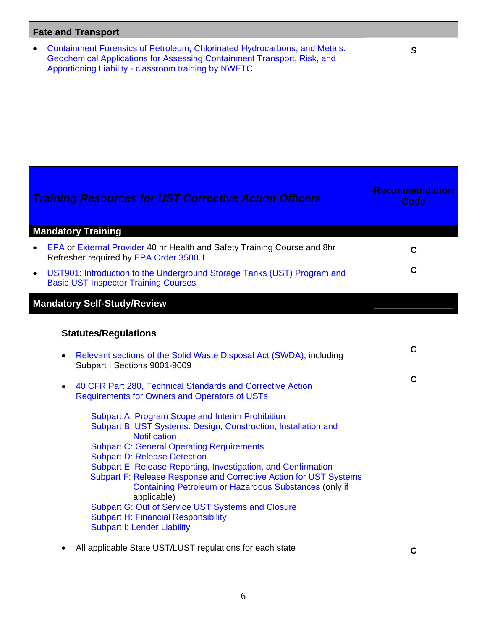<span id="page-5-0"></span>

| <b>Fate and Transport</b> |                                                                                                                                                                                                                |  |
|---------------------------|----------------------------------------------------------------------------------------------------------------------------------------------------------------------------------------------------------------|--|
|                           | • Containment Forensics of Petroleum, Chlorinated Hydrocarbons, and Metals:<br>Geochemical Applications for Assessing Containment Transport, Risk, and<br>Apportioning Liability - classroom training by NWETC |  |

| <b>Training Resources for UST Corrective Action Officers</b>                                                                                                                                                                                                                                                                                                                                                                                                                                                                                                                                                                                                                                                                                                                                                                                                   | <b>Recommendation</b><br><b>Code</b> |
|----------------------------------------------------------------------------------------------------------------------------------------------------------------------------------------------------------------------------------------------------------------------------------------------------------------------------------------------------------------------------------------------------------------------------------------------------------------------------------------------------------------------------------------------------------------------------------------------------------------------------------------------------------------------------------------------------------------------------------------------------------------------------------------------------------------------------------------------------------------|--------------------------------------|
| <b>Mandatory Training</b>                                                                                                                                                                                                                                                                                                                                                                                                                                                                                                                                                                                                                                                                                                                                                                                                                                      |                                      |
| EPA or External Provider 40 hr Health and Safety Training Course and 8hr<br>$\bullet$<br>Refresher required by EPA Order 3500.1.                                                                                                                                                                                                                                                                                                                                                                                                                                                                                                                                                                                                                                                                                                                               | C                                    |
| UST901: Introduction to the Underground Storage Tanks (UST) Program and<br>$\bullet$<br><b>Basic UST Inspector Training Courses</b>                                                                                                                                                                                                                                                                                                                                                                                                                                                                                                                                                                                                                                                                                                                            | $\mathbf c$                          |
| <b>Mandatory Self-Study/Review</b>                                                                                                                                                                                                                                                                                                                                                                                                                                                                                                                                                                                                                                                                                                                                                                                                                             |                                      |
| <b>Statutes/Regulations</b><br>Relevant sections of the Solid Waste Disposal Act (SWDA), including<br>Subpart I Sections 9001-9009<br>40 CFR Part 280, Technical Standards and Corrective Action<br><b>Requirements for Owners and Operators of USTs</b><br><b>Subpart A: Program Scope and Interim Prohibition</b><br>Subpart B: UST Systems: Design, Construction, Installation and<br><b>Notification</b><br><b>Subpart C: General Operating Requirements</b><br><b>Subpart D: Release Detection</b><br>Subpart E: Release Reporting, Investigation, and Confirmation<br>Subpart F: Release Response and Corrective Action for UST Systems<br>Containing Petroleum or Hazardous Substances (only if<br>applicable)<br>Subpart G: Out of Service UST Systems and Closure<br><b>Subpart H: Financial Responsibility</b><br><b>Subpart I: Lender Liability</b> | $\mathbf c$<br>$\mathbf C$           |
| All applicable State UST/LUST regulations for each state                                                                                                                                                                                                                                                                                                                                                                                                                                                                                                                                                                                                                                                                                                                                                                                                       | C                                    |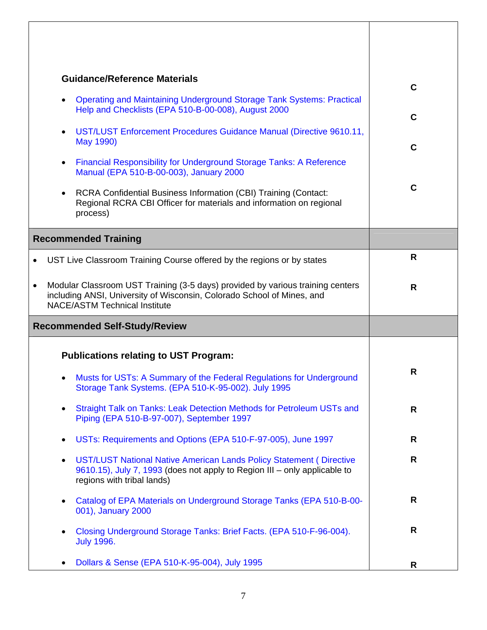| <b>Guidance/Reference Materials</b>                                                                                                                                                                           | $\mathbf C$ |
|---------------------------------------------------------------------------------------------------------------------------------------------------------------------------------------------------------------|-------------|
| <b>Operating and Maintaining Underground Storage Tank Systems: Practical</b><br>$\bullet$<br>Help and Checklists (EPA 510-B-00-008), August 2000                                                              |             |
|                                                                                                                                                                                                               | $\mathbf C$ |
| UST/LUST Enforcement Procedures Guidance Manual (Directive 9610.11,<br>$\bullet$<br>May 1990)                                                                                                                 | $\mathbf C$ |
| <b>Financial Responsibility for Underground Storage Tanks: A Reference</b><br>$\bullet$<br>Manual (EPA 510-B-00-003), January 2000                                                                            |             |
| RCRA Confidential Business Information (CBI) Training (Contact:<br>$\bullet$<br>Regional RCRA CBI Officer for materials and information on regional<br>process)                                               | $\mathbf C$ |
| <b>Recommended Training</b>                                                                                                                                                                                   |             |
| UST Live Classroom Training Course offered by the regions or by states<br>$\bullet$                                                                                                                           | R           |
| Modular Classroom UST Training (3-5 days) provided by various training centers<br>$\bullet$<br>including ANSI, University of Wisconsin, Colorado School of Mines, and<br><b>NACE/ASTM Technical Institute</b> | R           |
| <b>Recommended Self-Study/Review</b>                                                                                                                                                                          |             |
| <b>Publications relating to UST Program:</b>                                                                                                                                                                  |             |
| Musts for USTs: A Summary of the Federal Regulations for Underground<br>Storage Tank Systems. (EPA 510-K-95-002). July 1995                                                                                   | R           |
| Straight Talk on Tanks: Leak Detection Methods for Petroleum USTs and<br>$\bullet$<br>Piping (EPA 510-B-97-007), September 1997                                                                               | R           |
| USTs: Requirements and Options (EPA 510-F-97-005), June 1997<br>$\bullet$                                                                                                                                     | R           |
| UST/LUST National Native American Lands Policy Statement (Directive<br>٠<br>9610.15), July 7, 1993 (does not apply to Region III – only applicable to<br>regions with tribal lands)                           | R           |
| Catalog of EPA Materials on Underground Storage Tanks (EPA 510-B-00-<br>$\bullet$<br>001), January 2000                                                                                                       | R           |
| Closing Underground Storage Tanks: Brief Facts. (EPA 510-F-96-004).<br><b>July 1996.</b>                                                                                                                      | R           |
| Dollars & Sense (EPA 510-K-95-004), July 1995                                                                                                                                                                 | R.          |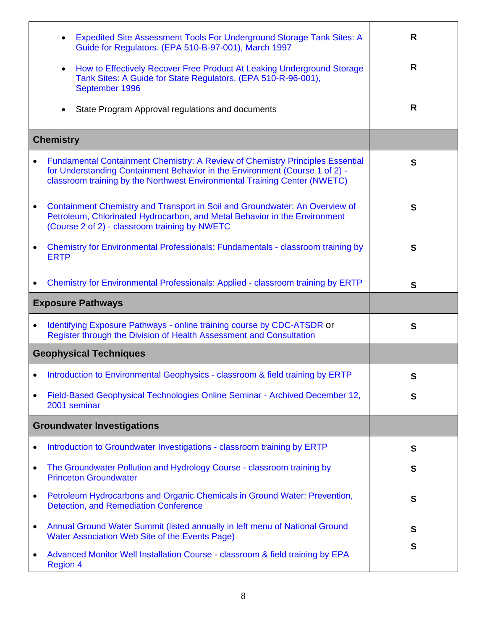|           | Expedited Site Assessment Tools For Underground Storage Tank Sites: A<br>Guide for Regulators. (EPA 510-B-97-001), March 1997                                                                                                             | R            |
|-----------|-------------------------------------------------------------------------------------------------------------------------------------------------------------------------------------------------------------------------------------------|--------------|
|           | How to Effectively Recover Free Product At Leaking Underground Storage<br>$\bullet$<br>Tank Sites: A Guide for State Regulators. (EPA 510-R-96-001),<br>September 1996                                                                    | R            |
|           | State Program Approval regulations and documents                                                                                                                                                                                          | R            |
|           | <b>Chemistry</b>                                                                                                                                                                                                                          |              |
|           | Fundamental Containment Chemistry: A Review of Chemistry Principles Essential<br>for Understanding Containment Behavior in the Environment (Course 1 of 2) -<br>classroom training by the Northwest Environmental Training Center (NWETC) | $\mathbf{s}$ |
| ٠         | Containment Chemistry and Transport in Soil and Groundwater: An Overview of<br>Petroleum, Chlorinated Hydrocarbon, and Metal Behavior in the Environment<br>(Course 2 of 2) - classroom training by NWETC                                 | S            |
|           | <b>Chemistry for Environmental Professionals: Fundamentals - classroom training by</b><br><b>ERTP</b>                                                                                                                                     | $\mathbf{s}$ |
|           | Chemistry for Environmental Professionals: Applied - classroom training by ERTP                                                                                                                                                           | $\mathbf{s}$ |
|           | <b>Exposure Pathways</b>                                                                                                                                                                                                                  |              |
|           |                                                                                                                                                                                                                                           |              |
| ٠         | Identifying Exposure Pathways - online training course by CDC-ATSDR or<br>Register through the Division of Health Assessment and Consultation                                                                                             | S            |
|           | <b>Geophysical Techniques</b>                                                                                                                                                                                                             |              |
|           | Introduction to Environmental Geophysics - classroom & field training by ERTP                                                                                                                                                             | S            |
|           | Field-Based Geophysical Technologies Online Seminar - Archived December 12,<br>2001 seminar                                                                                                                                               | S            |
|           | <b>Groundwater Investigations</b>                                                                                                                                                                                                         |              |
|           | Introduction to Groundwater Investigations - classroom training by ERTP                                                                                                                                                                   | S            |
| ٠         | The Groundwater Pollution and Hydrology Course - classroom training by<br><b>Princeton Groundwater</b>                                                                                                                                    | S            |
| ٠         | Petroleum Hydrocarbons and Organic Chemicals in Ground Water: Prevention,<br><b>Detection, and Remediation Conference</b>                                                                                                                 | S            |
| $\bullet$ | Annual Ground Water Summit (listed annually in left menu of National Ground<br>Water Association Web Site of the Events Page)                                                                                                             | S<br>S       |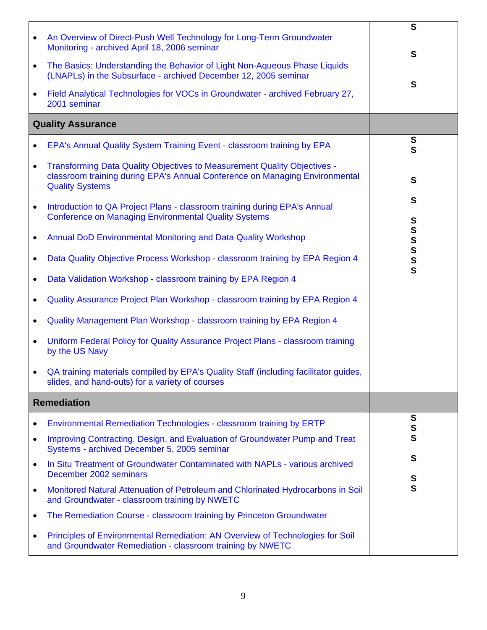| $\bullet$<br>$\bullet$                                             | An Overview of Direct-Push Well Technology for Long-Term Groundwater<br>Monitoring - archived April 18, 2006 seminar<br>The Basics: Understanding the Behavior of Light Non-Aqueous Phase Liquids<br>(LNAPLs) in the Subsurface - archived December 12, 2005 seminar<br>Field Analytical Technologies for VOCs in Groundwater - archived February 27,<br>2001 seminar<br><b>Quality Assurance</b><br>EPA's Annual Quality System Training Event - classroom training by EPA<br>Transforming Data Quality Objectives to Measurement Quality Objectives -<br>classroom training during EPA's Annual Conference on Managing Environmental<br><b>Quality Systems</b>                                                                                                    | $\mathbf{s}$<br>S<br>S<br>S<br>$\mathbf S$<br>S                         |
|--------------------------------------------------------------------|---------------------------------------------------------------------------------------------------------------------------------------------------------------------------------------------------------------------------------------------------------------------------------------------------------------------------------------------------------------------------------------------------------------------------------------------------------------------------------------------------------------------------------------------------------------------------------------------------------------------------------------------------------------------------------------------------------------------------------------------------------------------|-------------------------------------------------------------------------|
| $\bullet$<br>٠<br>$\bullet$<br>٠<br>$\bullet$<br>$\bullet$         | Introduction to QA Project Plans - classroom training during EPA's Annual<br><b>Conference on Managing Environmental Quality Systems</b><br>Annual DoD Environmental Monitoring and Data Quality Workshop<br>Data Quality Objective Process Workshop - classroom training by EPA Region 4<br>Data Validation Workshop - classroom training by EPA Region 4<br>Quality Assurance Project Plan Workshop - classroom training by EPA Region 4<br>Quality Management Plan Workshop - classroom training by EPA Region 4<br>Uniform Federal Policy for Quality Assurance Project Plans - classroom training<br>by the US Navy<br>QA training materials compiled by EPA's Quality Staff (including facilitator guides,<br>slides, and hand-outs) for a variety of courses | S<br>S<br>S<br>$\mathbf s$<br>$\mathbf S$<br>$\mathbf S$<br>$\mathbf S$ |
|                                                                    | <b>Remediation</b>                                                                                                                                                                                                                                                                                                                                                                                                                                                                                                                                                                                                                                                                                                                                                  |                                                                         |
| ٠<br>$\bullet$<br>$\bullet$<br>$\bullet$<br>$\bullet$<br>$\bullet$ | Environmental Remediation Technologies - classroom training by ERTP<br>Improving Contracting, Design, and Evaluation of Groundwater Pump and Treat<br>Systems - archived December 5, 2005 seminar<br>In Situ Treatment of Groundwater Contaminated with NAPLs - various archived<br>December 2002 seminars<br>Monitored Natural Attenuation of Petroleum and Chlorinated Hydrocarbons in Soil<br>and Groundwater - classroom training by NWETC<br>The Remediation Course - classroom training by Princeton Groundwater<br>Principles of Environmental Remediation: AN Overview of Technologies for Soil<br>and Groundwater Remediation - classroom training by NWETC                                                                                                | S<br>S<br>S<br>S<br>S<br>$\mathbf{s}$                                   |